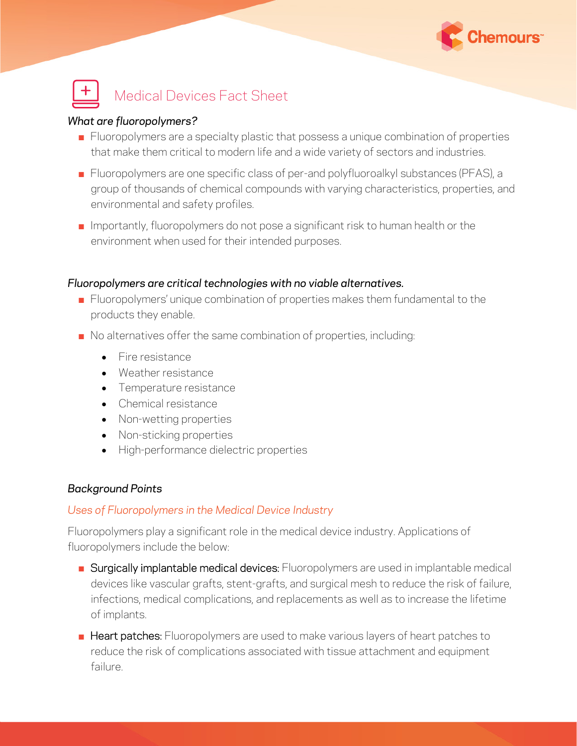



## *What are fluoropolymers?*

- **EXECTED** Fluoropolymers are a specialty plastic that possess a unique combination of properties that make them critical to modern life and a wide variety of sectors and industries.
- **EXECT** Fluoropolymers are one specific class of per-and polyfluoroalkyl substances (PFAS), a group of thousands of chemical compounds with varying characteristics, properties, and environmental and safety profiles.
- **E** Importantly, fluoropolymers do not pose a significant risk to human health or the environment when used for their intended purposes.

### *Fluoropolymers are critical technologies with no viable alternatives.*

- Fluoropolymers' unique combination of properties makes them fundamental to the products they enable.
- No alternatives offer the same combination of properties, including:
	- Fire resistance
	- Weather resistance
	- Temperature resistance
	- Chemical resistance
	- Non-wetting properties
	- Non-sticking properties
	- High-performance dielectric properties

# *Background Points*

# *Uses of Fluoropolymers in the Medical Device Industry*

Fluoropolymers play a significant role in the medical device industry. Applications of fluoropolymers include the below:

- **E** Surgically implantable medical devices: Fluoropolymers are used in implantable medical devices like vascular grafts, stent-grafts, and surgical mesh to reduce the risk of failure, infections, medical complications, and replacements as well as to increase the lifetime of implants.
- **E** Heart patches: Fluoropolymers are used to make various layers of heart patches to reduce the risk of complications associated with tissue attachment and equipment failure.